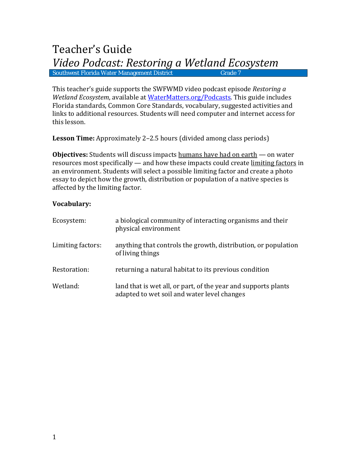# Teacher's Guide *Video Podcast: Restoring a Wetland Ecosystem* Southwest Florida Water Management District

This teacher's guide supports the SWFWMD video podcast episode *Restoring a Wetland Ecosystem*, available at [WaterMatters.org/Podcasts.](http://www.watermatters.org/Podcasts) This guide includes Florida standards, Common Core Standards, vocabulary, suggested activities and links to additional resources. Students will need computer and internet access for this lesson.

**Lesson Time:** Approximately 2–2.5 hours (divided among class periods)

**Objectives:** Students will discuss impacts humans have had on earth — on water resources most specifically — and how these impacts could create limiting factors in an environment. Students will select a possible limiting factor and create a photo essay to depict how the growth, distribution or population of a native species is affected by the limiting factor.

# **Vocabulary:**

| Ecosystem:        | a biological community of interacting organisms and their<br>physical environment                             |
|-------------------|---------------------------------------------------------------------------------------------------------------|
| Limiting factors: | anything that controls the growth, distribution, or population<br>of living things                            |
| Restoration:      | returning a natural habitat to its previous condition                                                         |
| Wetland:          | land that is wet all, or part, of the year and supports plants<br>adapted to wet soil and water level changes |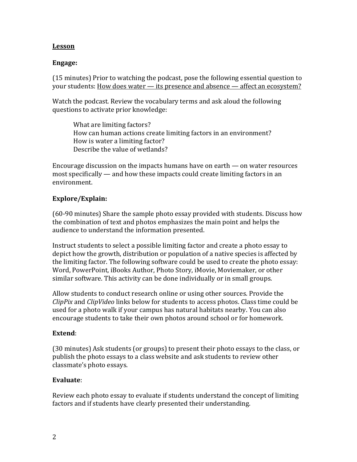## **Lesson**

## **Engage:**

(15 minutes) Prior to watching the podcast, pose the following essential question to your students: **How does water — its presence and absence — affect an ecosystem?** 

Watch the podcast. Review the vocabulary terms and ask aloud the following questions to activate prior knowledge:

What are limiting factors? How can human actions create limiting factors in an environment? How is water a limiting factor? Describe the value of wetlands?

Encourage discussion on the impacts humans have on earth — on water resources most specifically — and how these impacts could create limiting factors in an environment.

## **Explore/Explain:**

(60-90 minutes) Share the sample photo essay provided with students. Discuss how the combination of text and photos emphasizes the main point and helps the audience to understand the information presented.

Instruct students to select a possible limiting factor and create a photo essay to depict how the growth, distribution or population of a native species is affected by the limiting factor. The following software could be used to create the photo essay: Word, PowerPoint, iBooks Author, Photo Story, iMovie, Moviemaker, or other similar software. This activity can be done individually or in small groups.

Allow students to conduct research online or using other sources. Provide the *ClipPix* and *ClipVideo* links below for students to access photos. Class time could be used for a photo walk if your campus has natural habitats nearby. You can also encourage students to take their own photos around school or for homework.

#### **Extend**:

(30 minutes) Ask students (or groups) to present their photo essays to the class, or publish the photo essays to a class website and ask students to review other classmate's photo essays.

#### **Evaluate**:

Review each photo essay to evaluate if students understand the concept of limiting factors and if students have clearly presented their understanding.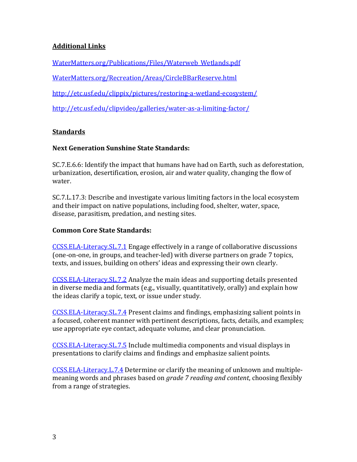# **Additional Links**

[WaterMatters.org/Publications/Files/Waterweb\\_Wetlands.pdf](http://www.swfwmd.state.fl.us/publications/files/waterweb_wetlands.pdf)

[WaterMatters.org/Recreation/Areas/CircleBBarReserve.html](http://www.swfwmd.state.fl.us/recreation/areas/circlebbarreserve.html)

<http://etc.usf.edu/clippix/pictures/restoring-a-wetland-ecosystem/>

<http://etc.usf.edu/clipvideo/galleries/water-as-a-limiting-factor/>

# **Standards**

# **Next Generation Sunshine State Standards:**

SC.7.E.6.6: Identify the impact that humans have had on Earth, such as deforestation, urbanization, desertification, erosion, air and water quality, changing the flow of water.

SC.7.L.17.3: Describe and investigate various limiting factors in the local ecosystem and their impact on native populations, including food, shelter, water, space, disease, parasitism, predation, and nesting sites.

# **Common Core State Standards:**

[CCSS.ELA-Literacy.SL.7.1](http://www.corestandards.org/ELA-Literacy/SL/7/1/) Engage effectively in a range of collaborative discussions (one-on-one, in groups, and teacher-led) with diverse partners on grade 7 topics, texts, and issues, building on others' ideas and expressing their own clearly.

[CCSS.ELA-Literacy.SL.7.2](http://www.corestandards.org/ELA-Literacy/SL/7/2/) Analyze the main ideas and supporting details presented in diverse media and formats (e.g., visually, quantitatively, orally) and explain how the ideas clarify a topic, text, or issue under study.

[CCSS.ELA-Literacy.SL.7.4](http://www.corestandards.org/ELA-Literacy/SL/7/4/) Present claims and findings, emphasizing salient points in a focused, coherent manner with pertinent descriptions, facts, details, and examples; use appropriate eye contact, adequate volume, and clear pronunciation.

[CCSS.ELA-Literacy.SL.7.5](http://www.corestandards.org/ELA-Literacy/SL/7/5/) Include multimedia components and visual displays in presentations to clarify claims and findings and emphasize salient points.

[CCSS.ELA-Literacy.L.7.4](http://www.corestandards.org/ELA-Literacy/L/7/4/) Determine or clarify the meaning of unknown and multiplemeaning words and phrases based on *grade 7 reading and content*, choosing flexibly from a range of strategies.